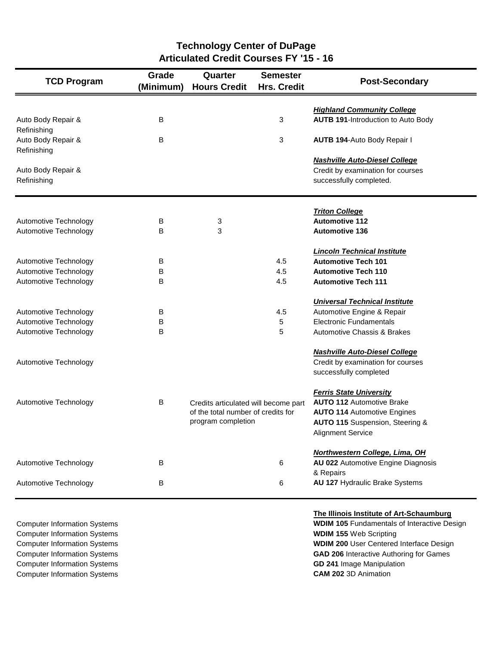| <b>TCD Program</b>                | Grade<br>(Minimum) | Quarter<br><b>Hours Credit</b>       | <b>Semester</b><br><b>Hrs. Credit</b> | <b>Post-Secondary</b>                                                          |
|-----------------------------------|--------------------|--------------------------------------|---------------------------------------|--------------------------------------------------------------------------------|
| Auto Body Repair &                | В                  |                                      | 3                                     | <b>Highland Community College</b><br><b>AUTB 191-Introduction to Auto Body</b> |
| Refinishing                       |                    |                                      |                                       |                                                                                |
| Auto Body Repair &<br>Refinishing | B                  |                                      | 3                                     | <b>AUTB 194-Auto Body Repair I</b>                                             |
|                                   |                    |                                      |                                       | <b>Nashville Auto-Diesel College</b>                                           |
| Auto Body Repair &<br>Refinishing |                    |                                      |                                       | Credit by examination for courses<br>successfully completed.                   |
|                                   |                    |                                      |                                       | <b>Triton College</b>                                                          |
| Automotive Technology             | В                  | 3                                    |                                       | <b>Automotive 112</b>                                                          |
| Automotive Technology             | B                  | 3                                    |                                       | <b>Automotive 136</b>                                                          |
|                                   |                    |                                      |                                       | <b>Lincoln Technical Institute</b>                                             |
| Automotive Technology             | В                  |                                      | 4.5                                   | <b>Automotive Tech 101</b>                                                     |
| Automotive Technology             | B                  |                                      | 4.5                                   | <b>Automotive Tech 110</b>                                                     |
| Automotive Technology             | в                  |                                      | 4.5                                   | <b>Automotive Tech 111</b>                                                     |
|                                   |                    |                                      |                                       | <b>Universal Technical Institute</b>                                           |
| Automotive Technology             | В                  |                                      | 4.5                                   | Automotive Engine & Repair                                                     |
| Automotive Technology             | B                  |                                      | 5                                     | <b>Electronic Fundamentals</b>                                                 |
| Automotive Technology             | в                  |                                      | 5                                     | <b>Automotive Chassis &amp; Brakes</b>                                         |
|                                   |                    |                                      |                                       | <b>Nashville Auto-Diesel College</b>                                           |
| Automotive Technology             |                    |                                      |                                       | Credit by examination for courses                                              |
|                                   |                    |                                      |                                       | successfully completed                                                         |
|                                   |                    |                                      |                                       | <b>Ferris State University</b>                                                 |
| Automotive Technology             | В                  | Credits articulated will become part |                                       | <b>AUTO 112 Automotive Brake</b>                                               |
|                                   |                    | of the total number of credits for   |                                       | <b>AUTO 114 Automotive Engines</b>                                             |
|                                   |                    | program completion                   |                                       | AUTO 115 Suspension, Steering &                                                |
|                                   |                    |                                      |                                       | <b>Alignment Service</b>                                                       |
|                                   |                    |                                      |                                       | Northwestern College, Lima, OH                                                 |
| Automotive Technology             | В                  |                                      | 6                                     | AU 022 Automotive Engine Diagnosis                                             |
|                                   |                    |                                      |                                       | & Repairs                                                                      |
| Automotive Technology             | В                  |                                      | 6                                     | AU 127 Hydraulic Brake Systems                                                 |

**Technology Center of DuPage Articulated Credit Courses FY '15 - 16**

**Computer Information Systems WDIM 155 Web Scripting** Computer Information Systems **GD 241** Image Manipulation Computer Information Systems **CAM 202** 3D Animation

## **The Illinois Institute of Art-Schaumburg**

**Computer Information Systems WDIM 105 Fundamentals of Interactive Design** Computer Information Systems **WDIM 200** User Centered Interface Design Computer Information Systems **GAD 206** Interactive Authoring for Games